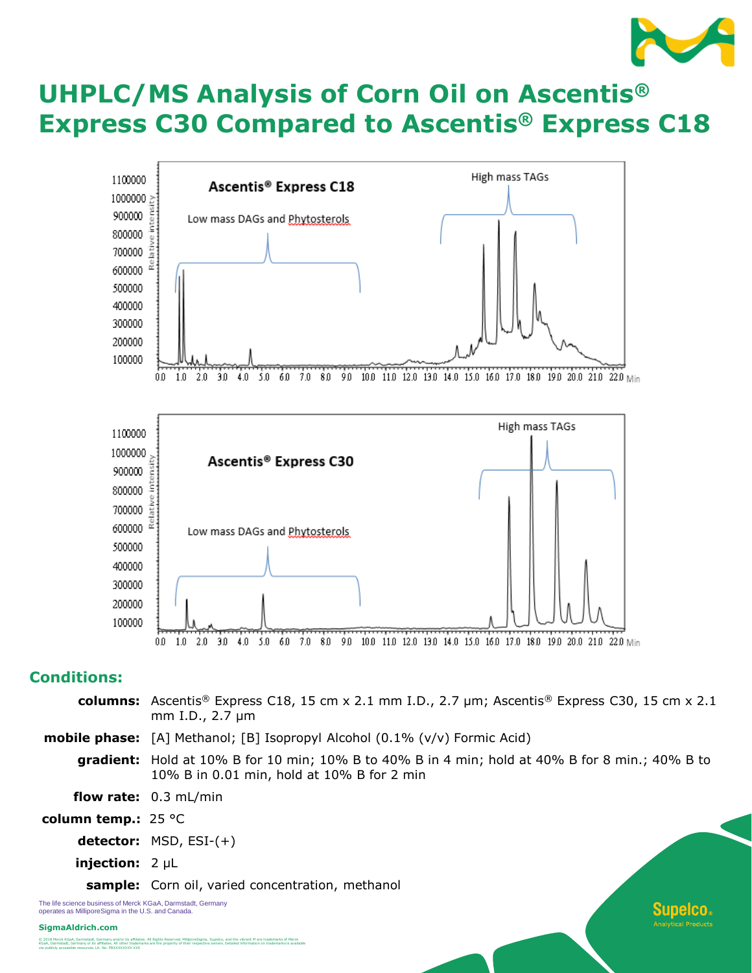

Supeico.

# **UHPLC/MS Analysis of Corn Oil on Ascentis® Express C30 Compared to Ascentis® Express C18**



## **Conditions:**

- **columns:** Ascentis® Express C18, 15 cm x 2.1 mm I.D., 2.7 µm; Ascentis® Express C30, 15 cm x 2.1 mm I.D., 2.7 µm
- **mobile phase:** [A] Methanol; [B] Isopropyl Alcohol (0.1% (v/v) Formic Acid)
	- **gradient:** Hold at 10% B for 10 min; 10% B to 40% B in 4 min; hold at 40% B for 8 min.; 40% B to 10% B in 0.01 min, hold at 10% B for 2 min
- **flow rate:** 0.3 mL/min
- **column temp.:** 25 °C
	- **detector:** MSD, ESI-(+)
	- **injection:** 2 µL

**sample:** Corn oil, varied concentration, methanol

The life science business of Merck KGaA, Darmstadt, Germany operates as MilliporeSigma in the U.S. and Canada.

#### **SigmaAldrich.com**

© 2018 Merck KGaA, Darmstadt, Germany and/or its affiliates. All Rights Reserved. MilliporeSigma, Supelco, and the vibrant M are trademarks of Merck<br>KGaA, Damstadt, Germany or its affiliates. All other trademarks are the